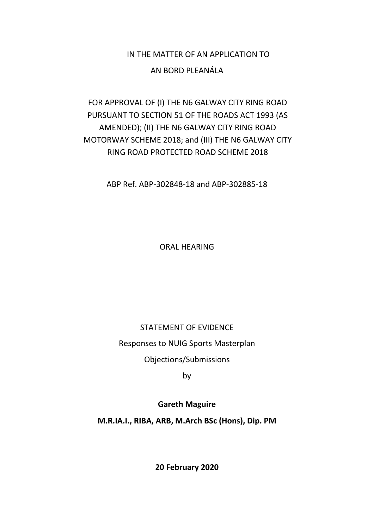# IN THE MATTER OF AN APPLICATION TO AN BORD PLEANÁLA

### FOR APPROVAL OF (I) THE N6 GALWAY CITY RING ROAD PURSUANT TO SECTION 51 OF THE ROADS ACT 1993 (AS AMENDED); (II) THE N6 GALWAY CITY RING ROAD MOTORWAY SCHEME 2018; and (III) THE N6 GALWAY CITY RING ROAD PROTECTED ROAD SCHEME 2018

ABP Ref. ABP-302848-18 and ABP-302885-18

ORAL HEARING

#### STATEMENT OF EVIDENCE

Responses to NUIG Sports Masterplan

Objections/Submissions

by

#### **Gareth Maguire**

**M.R.IA.I., RIBA, ARB, M.Arch BSc (Hons), Dip. PM**

**20 February 2020**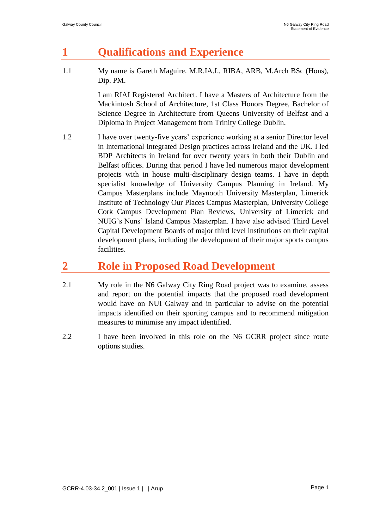# **1 Qualifications and Experience**

1.1 My name is Gareth Maguire. M.R.IA.I., RIBA, ARB, M.Arch BSc (Hons), Dip. PM.

> I am RIAI Registered Architect. I have a Masters of Architecture from the Mackintosh School of Architecture, 1st Class Honors Degree, Bachelor of Science Degree in Architecture from Queens University of Belfast and a Diploma in Project Management from Trinity College Dublin.

1.2 I have over twenty-five years' experience working at a senior Director level in International Integrated Design practices across Ireland and the UK. I led BDP Architects in Ireland for over twenty years in both their Dublin and Belfast offices. During that period I have led numerous major development projects with in house multi-disciplinary design teams. I have in depth specialist knowledge of University Campus Planning in Ireland. My Campus Masterplans include Maynooth University Masterplan, Limerick Institute of Technology Our Places Campus Masterplan, University College Cork Campus Development Plan Reviews, University of Limerick and NUIG's Nuns' Island Campus Masterplan. I have also advised Third Level Capital Development Boards of major third level institutions on their capital development plans, including the development of their major sports campus facilities.

## **2 Role in Proposed Road Development**

- 2.1 My role in the N6 Galway City Ring Road project was to examine, assess and report on the potential impacts that the proposed road development would have on NUI Galway and in particular to advise on the potential impacts identified on their sporting campus and to recommend mitigation measures to minimise any impact identified.
- 2.2 I have been involved in this role on the N6 GCRR project since route options studies.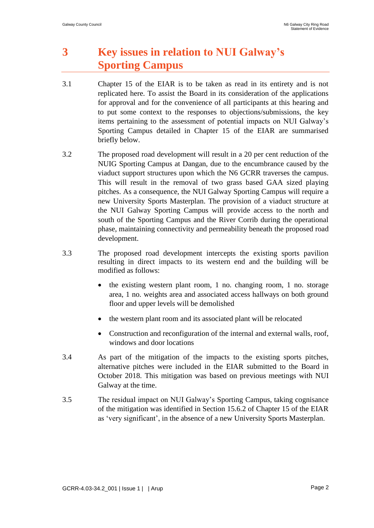# **3 Key issues in relation to NUI Galway's Sporting Campus**

- 3.1 Chapter 15 of the EIAR is to be taken as read in its entirety and is not replicated here. To assist the Board in its consideration of the applications for approval and for the convenience of all participants at this hearing and to put some context to the responses to objections/submissions, the key items pertaining to the assessment of potential impacts on NUI Galway's Sporting Campus detailed in Chapter 15 of the EIAR are summarised briefly below.
- 3.2 The proposed road development will result in a 20 per cent reduction of the NUIG Sporting Campus at Dangan, due to the encumbrance caused by the viaduct support structures upon which the N6 GCRR traverses the campus. This will result in the removal of two grass based GAA sized playing pitches. As a consequence, the NUI Galway Sporting Campus will require a new University Sports Masterplan. The provision of a viaduct structure at the NUI Galway Sporting Campus will provide access to the north and south of the Sporting Campus and the River Corrib during the operational phase, maintaining connectivity and permeability beneath the proposed road development.
- 3.3 The proposed road development intercepts the existing sports pavilion resulting in direct impacts to its western end and the building will be modified as follows:
	- the existing western plant room, 1 no. changing room, 1 no. storage area, 1 no. weights area and associated access hallways on both ground floor and upper levels will be demolished
	- the western plant room and its associated plant will be relocated
	- Construction and reconfiguration of the internal and external walls, roof, windows and door locations
- 3.4 As part of the mitigation of the impacts to the existing sports pitches, alternative pitches were included in the EIAR submitted to the Board in October 2018. This mitigation was based on previous meetings with NUI Galway at the time.
- 3.5 The residual impact on NUI Galway's Sporting Campus, taking cognisance of the mitigation was identified in Section 15.6.2 of Chapter 15 of the EIAR as 'very significant', in the absence of a new University Sports Masterplan.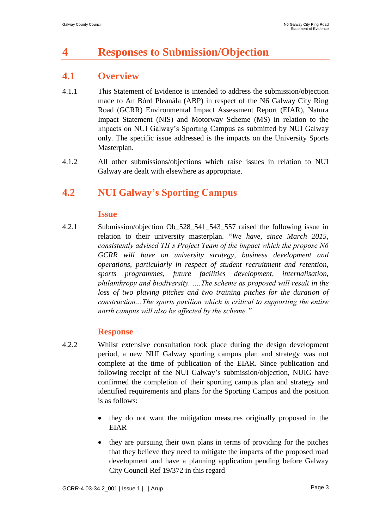## **4 Responses to Submission/Objection**

### **4.1 Overview**

- 4.1.1 This Statement of Evidence is intended to address the submission/objection made to An Bórd Pleanála (ABP) in respect of the N6 Galway City Ring Road (GCRR) Environmental Impact Assessment Report (EIAR), Natura Impact Statement (NIS) and Motorway Scheme (MS) in relation to the impacts on NUI Galway's Sporting Campus as submitted by NUI Galway only. The specific issue addressed is the impacts on the University Sports Masterplan.
- 4.1.2 All other submissions/objections which raise issues in relation to NUI Galway are dealt with elsewhere as appropriate.

### **4.2 NUI Galway's Sporting Campus**

#### **Issue**

4.2.1 Submission/objection Ob\_528\_541\_543\_557 raised the following issue in relation to their university masterplan. "*We have, since March 2015, consistently advised TII's Project Team of the impact which the propose N6 GCRR will have on university strategy, business development and operations, particularly in respect of student recruitment and retention, sports programmes, future facilities development, internalisation, philanthropy and biodiversity. ….The scheme as proposed will result in the*  loss of two playing pitches and two training pitches for the duration of *construction…The sports pavilion which is critical to supporting the entire north campus will also be affected by the scheme."*

#### **Response**

- 4.2.2 Whilst extensive consultation took place during the design development period, a new NUI Galway sporting campus plan and strategy was not complete at the time of publication of the EIAR. Since publication and following receipt of the NUI Galway's submission/objection, NUIG have confirmed the completion of their sporting campus plan and strategy and identified requirements and plans for the Sporting Campus and the position is as follows:
	- they do not want the mitigation measures originally proposed in the EIAR
	- they are pursuing their own plans in terms of providing for the pitches that they believe they need to mitigate the impacts of the proposed road development and have a planning application pending before Galway City Council Ref 19/372 in this regard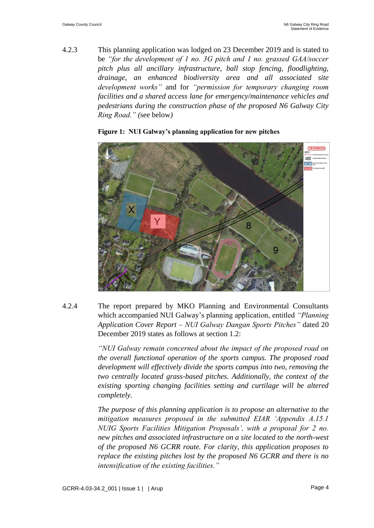4.2.3 This planning application was lodged on 23 December 2019 and is stated to be *"for the development of 1 no. 3G pitch and 1 no. grassed GAA/soccer pitch plus all ancillary infrastructure, ball stop fencing, floodlighting, drainage, an enhanced biodiversity area and all associated site development works"* and for *"permission for temporary changing room facilities and a shared access lane for emergency/maintenance vehicles and pedestrians during the construction phase of the proposed N6 Galway City Ring Road." (*see below*)*



#### **Figure 1: NUI Galway's planning application for new pitches**

4.2.4 The report prepared by MKO Planning and Environmental Consultants which accompanied NUI Galway's planning application, entitled *"Planning Application Cover Report – NUI Galway Dangan Sports Pitches"* dated 20 December 2019 states as follows at section 1.2:

> *"NUI Galway remain concerned about the impact of the proposed road on the overall functional operation of the sports campus. The proposed road development will effectively divide the sports campus into two, removing the two centrally located grass-based pitches. Additionally, the context of the existing sporting changing facilities setting and curtilage will be altered completely.*

> *The purpose of this planning application is to propose an alternative to the mitigation measures proposed in the submitted EIAR 'Appendix A.15.1 NUIG Sports Facilities Mitigation Proposals', with a proposal for 2 no. new pitches and associated infrastructure on a site located to the north-west of the proposed N6 GCRR route. For clarity, this application proposes to replace the existing pitches lost by the proposed N6 GCRR and there is no intensification of the existing facilities."*